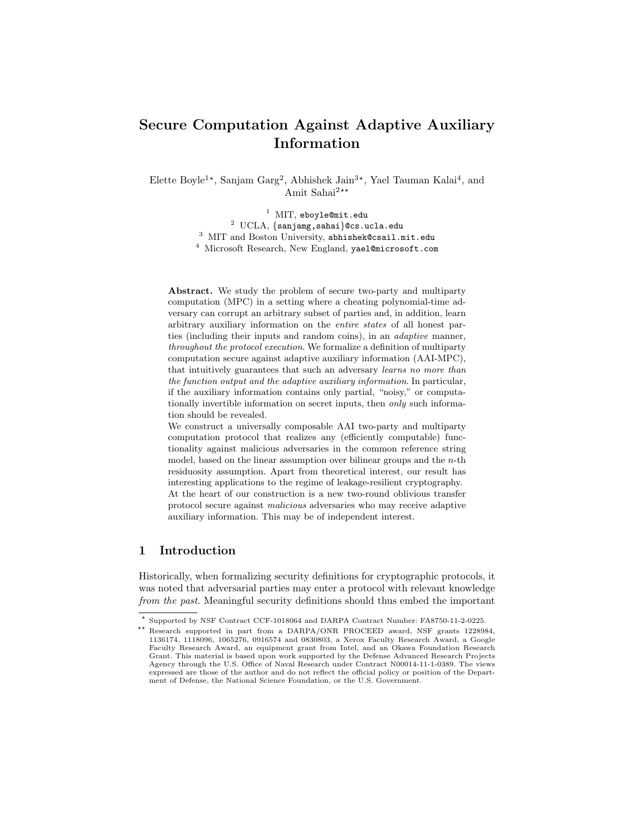# Secure Computation Against Adaptive Auxiliary Information

Elette Boyle<sup>1\*</sup>, Sanjam Garg<sup>2</sup>, Abhishek Jain<sup>3\*</sup>, Yael Tauman Kalai<sup>4</sup>, and Amit Sahai<sup>2\*\*</sup>

> <sup>1</sup> MIT, eboyle@mit.edu  $2 \text{ UCLA}, \{\text{sanjang}, \text{sahai}\}$ @cs.ucla.edu <sup>3</sup> MIT and Boston University, abhishek@csail.mit.edu <sup>4</sup> Microsoft Research, New England, yael@microsoft.com

Abstract. We study the problem of secure two-party and multiparty computation (MPC) in a setting where a cheating polynomial-time adversary can corrupt an arbitrary subset of parties and, in addition, learn arbitrary auxiliary information on the entire states of all honest parties (including their inputs and random coins), in an adaptive manner, throughout the protocol execution. We formalize a definition of multiparty computation secure against adaptive auxiliary information (AAI-MPC), that intuitively guarantees that such an adversary learns no more than the function output and the adaptive auxiliary information. In particular, if the auxiliary information contains only partial, "noisy," or computationally invertible information on secret inputs, then only such information should be revealed.

We construct a universally composable AAI two-party and multiparty computation protocol that realizes any (efficiently computable) functionality against malicious adversaries in the common reference string model, based on the linear assumption over bilinear groups and the  $n$ -th residuosity assumption. Apart from theoretical interest, our result has interesting applications to the regime of leakage-resilient cryptography. At the heart of our construction is a new two-round oblivious transfer protocol secure against malicious adversaries who may receive adaptive auxiliary information. This may be of independent interest.

# 1 Introduction

Historically, when formalizing security definitions for cryptographic protocols, it was noted that adversarial parties may enter a protocol with relevant knowledge from the past. Meaningful security definitions should thus embed the important

<sup>?</sup> Supported by NSF Contract CCF-1018064 and DARPA Contract Number: FA8750-11-2-0225.

<sup>??</sup> Research supported in part from a DARPA/ONR PROCEED award, NSF grants 1228984, 1136174, 1118096, 1065276, 0916574 and 0830803, a Xerox Faculty Research Award, a Google Faculty Research Award, an equipment grant from Intel, and an Okawa Foundation Research Grant. This material is based upon work supported by the Defense Advanced Research Projects Agency through the U.S. Office of Naval Research under Contract N00014-11-1-0389. The views expressed are those of the author and do not reflect the official policy or position of the Department of Defense, the National Science Foundation, or the U.S. Government.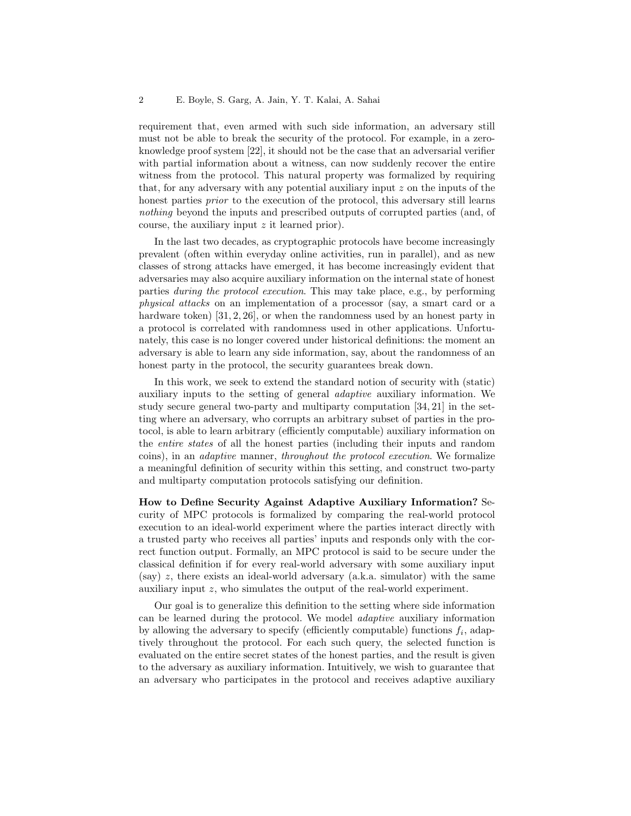requirement that, even armed with such side information, an adversary still must not be able to break the security of the protocol. For example, in a zeroknowledge proof system [22], it should not be the case that an adversarial verifier with partial information about a witness, can now suddenly recover the entire witness from the protocol. This natural property was formalized by requiring that, for any adversary with any potential auxiliary input  $z$  on the inputs of the honest parties *prior* to the execution of the protocol, this adversary still learns nothing beyond the inputs and prescribed outputs of corrupted parties (and, of course, the auxiliary input z it learned prior).

In the last two decades, as cryptographic protocols have become increasingly prevalent (often within everyday online activities, run in parallel), and as new classes of strong attacks have emerged, it has become increasingly evident that adversaries may also acquire auxiliary information on the internal state of honest parties during the protocol execution. This may take place, e.g., by performing physical attacks on an implementation of a processor (say, a smart card or a hardware token) [31, 2, 26], or when the randomness used by an honest party in a protocol is correlated with randomness used in other applications. Unfortunately, this case is no longer covered under historical definitions: the moment an adversary is able to learn any side information, say, about the randomness of an honest party in the protocol, the security guarantees break down.

In this work, we seek to extend the standard notion of security with (static) auxiliary inputs to the setting of general adaptive auxiliary information. We study secure general two-party and multiparty computation [34, 21] in the setting where an adversary, who corrupts an arbitrary subset of parties in the protocol, is able to learn arbitrary (efficiently computable) auxiliary information on the entire states of all the honest parties (including their inputs and random coins), in an adaptive manner, throughout the protocol execution. We formalize a meaningful definition of security within this setting, and construct two-party and multiparty computation protocols satisfying our definition.

How to Define Security Against Adaptive Auxiliary Information? Security of MPC protocols is formalized by comparing the real-world protocol execution to an ideal-world experiment where the parties interact directly with a trusted party who receives all parties' inputs and responds only with the correct function output. Formally, an MPC protocol is said to be secure under the classical definition if for every real-world adversary with some auxiliary input (say) z, there exists an ideal-world adversary (a.k.a. simulator) with the same auxiliary input z, who simulates the output of the real-world experiment.

Our goal is to generalize this definition to the setting where side information can be learned during the protocol. We model adaptive auxiliary information by allowing the adversary to specify (efficiently computable) functions  $f_i$ , adaptively throughout the protocol. For each such query, the selected function is evaluated on the entire secret states of the honest parties, and the result is given to the adversary as auxiliary information. Intuitively, we wish to guarantee that an adversary who participates in the protocol and receives adaptive auxiliary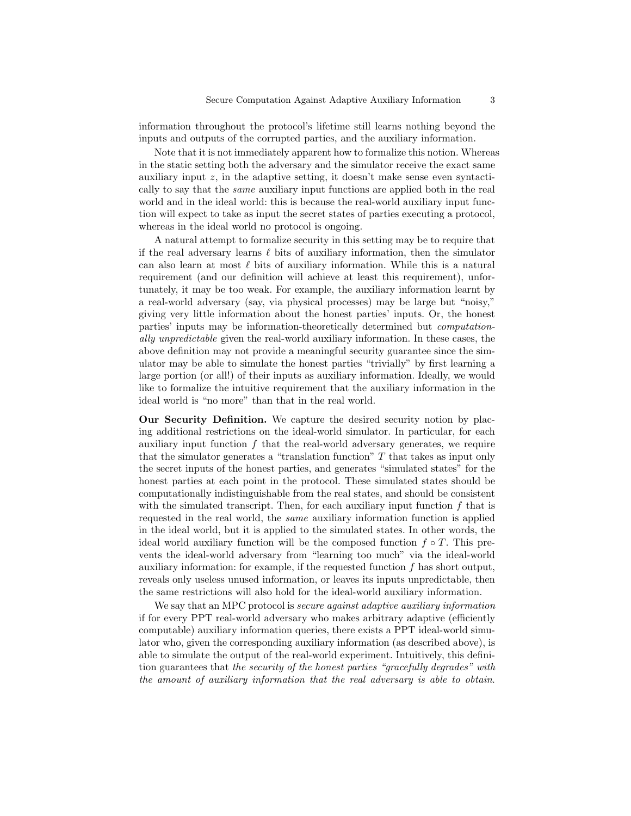information throughout the protocol's lifetime still learns nothing beyond the inputs and outputs of the corrupted parties, and the auxiliary information.

Note that it is not immediately apparent how to formalize this notion. Whereas in the static setting both the adversary and the simulator receive the exact same auxiliary input  $z$ , in the adaptive setting, it doesn't make sense even syntactically to say that the same auxiliary input functions are applied both in the real world and in the ideal world: this is because the real-world auxiliary input function will expect to take as input the secret states of parties executing a protocol, whereas in the ideal world no protocol is ongoing.

A natural attempt to formalize security in this setting may be to require that if the real adversary learns  $\ell$  bits of auxiliary information, then the simulator can also learn at most  $\ell$  bits of auxiliary information. While this is a natural requirement (and our definition will achieve at least this requirement), unfortunately, it may be too weak. For example, the auxiliary information learnt by a real-world adversary (say, via physical processes) may be large but "noisy," giving very little information about the honest parties' inputs. Or, the honest parties' inputs may be information-theoretically determined but computationally unpredictable given the real-world auxiliary information. In these cases, the above definition may not provide a meaningful security guarantee since the simulator may be able to simulate the honest parties "trivially" by first learning a large portion (or all!) of their inputs as auxiliary information. Ideally, we would like to formalize the intuitive requirement that the auxiliary information in the ideal world is "no more" than that in the real world.

Our Security Definition. We capture the desired security notion by placing additional restrictions on the ideal-world simulator. In particular, for each auxiliary input function  $f$  that the real-world adversary generates, we require that the simulator generates a "translation function" T that takes as input only the secret inputs of the honest parties, and generates "simulated states" for the honest parties at each point in the protocol. These simulated states should be computationally indistinguishable from the real states, and should be consistent with the simulated transcript. Then, for each auxiliary input function  $f$  that is requested in the real world, the same auxiliary information function is applied in the ideal world, but it is applied to the simulated states. In other words, the ideal world auxiliary function will be the composed function  $f \circ T$ . This prevents the ideal-world adversary from "learning too much" via the ideal-world auxiliary information: for example, if the requested function  $f$  has short output, reveals only useless unused information, or leaves its inputs unpredictable, then the same restrictions will also hold for the ideal-world auxiliary information.

We say that an MPC protocol is *secure against adaptive auxiliary information* if for every PPT real-world adversary who makes arbitrary adaptive (efficiently computable) auxiliary information queries, there exists a PPT ideal-world simulator who, given the corresponding auxiliary information (as described above), is able to simulate the output of the real-world experiment. Intuitively, this definition guarantees that the security of the honest parties "gracefully degrades" with the amount of auxiliary information that the real adversary is able to obtain.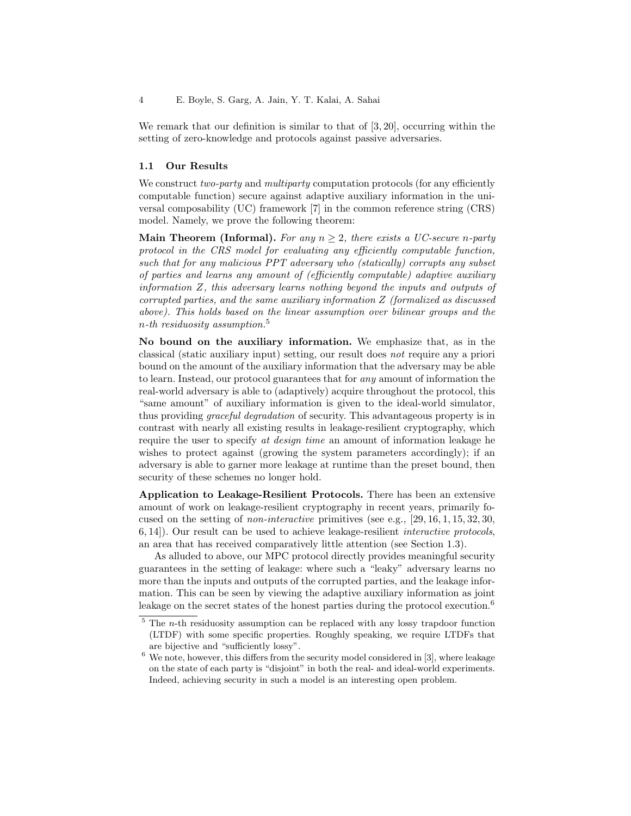We remark that our definition is similar to that of [3, 20], occurring within the setting of zero-knowledge and protocols against passive adversaries.

#### 1.1 Our Results

We construct *two-party* and *multiparty* computation protocols (for any efficiently computable function) secure against adaptive auxiliary information in the universal composability (UC) framework [7] in the common reference string (CRS) model. Namely, we prove the following theorem:

**Main Theorem (Informal).** For any  $n \geq 2$ , there exists a UC-secure n-party protocol in the CRS model for evaluating any efficiently computable function, such that for any malicious PPT adversary who (statically) corrupts any subset of parties and learns any amount of (efficiently computable) adaptive auxiliary information Z, this adversary learns nothing beyond the inputs and outputs of corrupted parties, and the same auxiliary information Z (formalized as discussed above). This holds based on the linear assumption over bilinear groups and the  $n$ -th residuosity assumption.<sup>5</sup>

No bound on the auxiliary information. We emphasize that, as in the classical (static auxiliary input) setting, our result does not require any a priori bound on the amount of the auxiliary information that the adversary may be able to learn. Instead, our protocol guarantees that for any amount of information the real-world adversary is able to (adaptively) acquire throughout the protocol, this "same amount" of auxiliary information is given to the ideal-world simulator, thus providing *graceful degradation* of security. This advantageous property is in contrast with nearly all existing results in leakage-resilient cryptography, which require the user to specify at design time an amount of information leakage he wishes to protect against (growing the system parameters accordingly); if an adversary is able to garner more leakage at runtime than the preset bound, then security of these schemes no longer hold.

Application to Leakage-Resilient Protocols. There has been an extensive amount of work on leakage-resilient cryptography in recent years, primarily focused on the setting of non-interactive primitives (see e.g., [29, 16, 1, 15, 32, 30, 6, 14]). Our result can be used to achieve leakage-resilient interactive protocols, an area that has received comparatively little attention (see Section 1.3).

As alluded to above, our MPC protocol directly provides meaningful security guarantees in the setting of leakage: where such a "leaky" adversary learns no more than the inputs and outputs of the corrupted parties, and the leakage information. This can be seen by viewing the adaptive auxiliary information as joint leakage on the secret states of the honest parties during the protocol execution.<sup>6</sup>

 $5$  The *n*-th residuosity assumption can be replaced with any lossy trapdoor function (LTDF) with some specific properties. Roughly speaking, we require LTDFs that are bijective and "sufficiently lossy".

 $6$  We note, however, this differs from the security model considered in [3], where leakage on the state of each party is "disjoint" in both the real- and ideal-world experiments. Indeed, achieving security in such a model is an interesting open problem.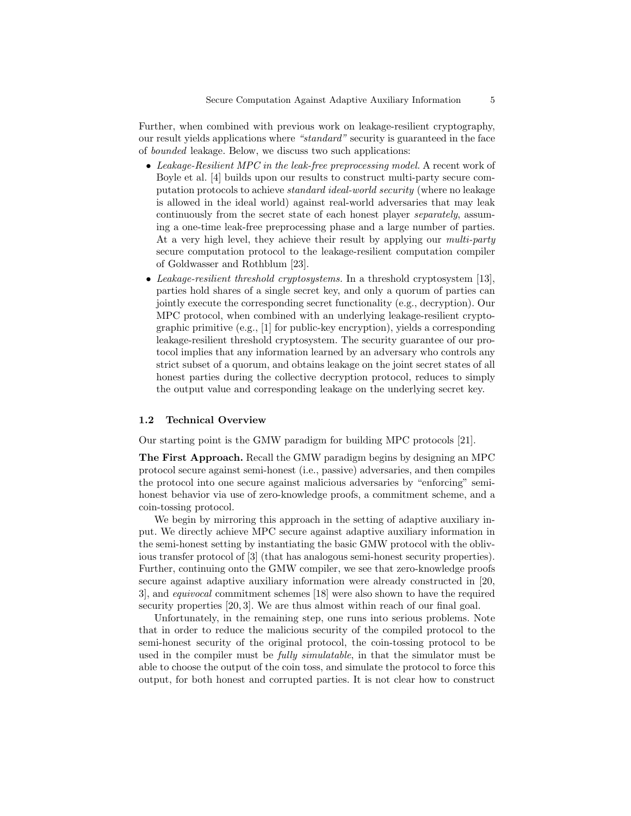Further, when combined with previous work on leakage-resilient cryptography, our result yields applications where "standard" security is guaranteed in the face of bounded leakage. Below, we discuss two such applications:

- Leakage-Resilient MPC in the leak-free preprocessing model. A recent work of Boyle et al. [4] builds upon our results to construct multi-party secure computation protocols to achieve standard ideal-world security (where no leakage is allowed in the ideal world) against real-world adversaries that may leak continuously from the secret state of each honest player separately, assuming a one-time leak-free preprocessing phase and a large number of parties. At a very high level, they achieve their result by applying our *multi-party* secure computation protocol to the leakage-resilient computation compiler of Goldwasser and Rothblum [23].
- Leakage-resilient threshold cryptosystems. In a threshold cryptosystem [13], parties hold shares of a single secret key, and only a quorum of parties can jointly execute the corresponding secret functionality (e.g., decryption). Our MPC protocol, when combined with an underlying leakage-resilient cryptographic primitive (e.g., [1] for public-key encryption), yields a corresponding leakage-resilient threshold cryptosystem. The security guarantee of our protocol implies that any information learned by an adversary who controls any strict subset of a quorum, and obtains leakage on the joint secret states of all honest parties during the collective decryption protocol, reduces to simply the output value and corresponding leakage on the underlying secret key.

#### 1.2 Technical Overview

Our starting point is the GMW paradigm for building MPC protocols [21].

The First Approach. Recall the GMW paradigm begins by designing an MPC protocol secure against semi-honest (i.e., passive) adversaries, and then compiles the protocol into one secure against malicious adversaries by "enforcing" semihonest behavior via use of zero-knowledge proofs, a commitment scheme, and a coin-tossing protocol.

We begin by mirroring this approach in the setting of adaptive auxiliary input. We directly achieve MPC secure against adaptive auxiliary information in the semi-honest setting by instantiating the basic GMW protocol with the oblivious transfer protocol of [3] (that has analogous semi-honest security properties). Further, continuing onto the GMW compiler, we see that zero-knowledge proofs secure against adaptive auxiliary information were already constructed in [20, 3], and equivocal commitment schemes [18] were also shown to have the required security properties [20, 3]. We are thus almost within reach of our final goal.

Unfortunately, in the remaining step, one runs into serious problems. Note that in order to reduce the malicious security of the compiled protocol to the semi-honest security of the original protocol, the coin-tossing protocol to be used in the compiler must be *fully simulatable*, in that the simulator must be able to choose the output of the coin toss, and simulate the protocol to force this output, for both honest and corrupted parties. It is not clear how to construct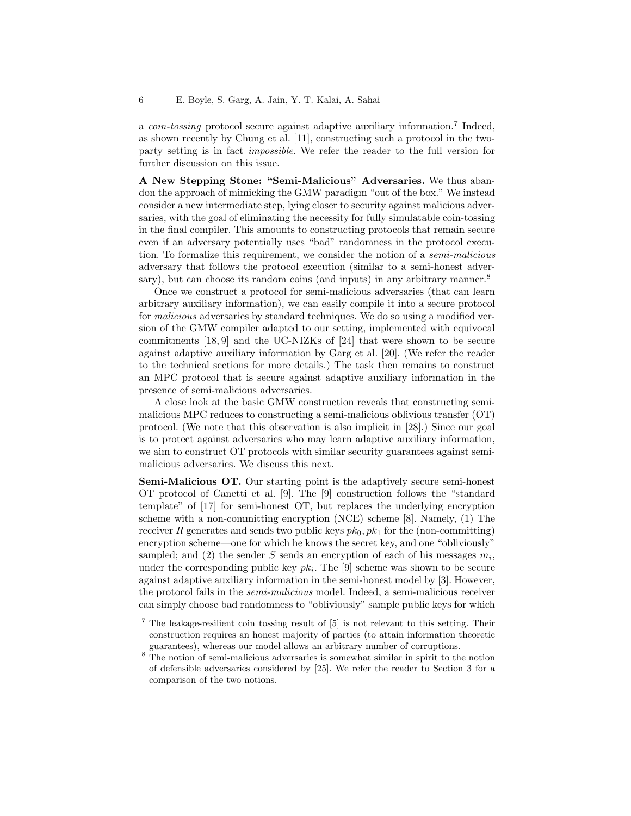a *coin-tossing* protocol secure against adaptive auxiliary information.<sup>7</sup> Indeed, as shown recently by Chung et al. [11], constructing such a protocol in the twoparty setting is in fact impossible. We refer the reader to the full version for further discussion on this issue.

A New Stepping Stone: "Semi-Malicious" Adversaries. We thus abandon the approach of mimicking the GMW paradigm "out of the box." We instead consider a new intermediate step, lying closer to security against malicious adversaries, with the goal of eliminating the necessity for fully simulatable coin-tossing in the final compiler. This amounts to constructing protocols that remain secure even if an adversary potentially uses "bad" randomness in the protocol execution. To formalize this requirement, we consider the notion of a semi-malicious adversary that follows the protocol execution (similar to a semi-honest adversary), but can choose its random coins (and inputs) in any arbitrary manner.<sup>8</sup>

Once we construct a protocol for semi-malicious adversaries (that can learn arbitrary auxiliary information), we can easily compile it into a secure protocol for malicious adversaries by standard techniques. We do so using a modified version of the GMW compiler adapted to our setting, implemented with equivocal commitments [18, 9] and the UC-NIZKs of [24] that were shown to be secure against adaptive auxiliary information by Garg et al. [20]. (We refer the reader to the technical sections for more details.) The task then remains to construct an MPC protocol that is secure against adaptive auxiliary information in the presence of semi-malicious adversaries.

A close look at the basic GMW construction reveals that constructing semimalicious MPC reduces to constructing a semi-malicious oblivious transfer (OT) protocol. (We note that this observation is also implicit in [28].) Since our goal is to protect against adversaries who may learn adaptive auxiliary information, we aim to construct OT protocols with similar security guarantees against semimalicious adversaries. We discuss this next.

Semi-Malicious OT. Our starting point is the adaptively secure semi-honest OT protocol of Canetti et al. [9]. The [9] construction follows the "standard template" of [17] for semi-honest OT, but replaces the underlying encryption scheme with a non-committing encryption (NCE) scheme [8]. Namely, (1) The receiver R generates and sends two public keys  $pk_0$ ,  $pk_1$  for the (non-committing) encryption scheme—one for which he knows the secret key, and one "obliviously" sampled; and (2) the sender S sends an encryption of each of his messages  $m_i$ , under the corresponding public key  $pk_i$ . The [9] scheme was shown to be secure against adaptive auxiliary information in the semi-honest model by [3]. However, the protocol fails in the semi-malicious model. Indeed, a semi-malicious receiver can simply choose bad randomness to "obliviously" sample public keys for which

<sup>7</sup> The leakage-resilient coin tossing result of [5] is not relevant to this setting. Their construction requires an honest majority of parties (to attain information theoretic guarantees), whereas our model allows an arbitrary number of corruptions.

<sup>&</sup>lt;sup>8</sup> The notion of semi-malicious adversaries is somewhat similar in spirit to the notion of defensible adversaries considered by [25]. We refer the reader to Section 3 for a comparison of the two notions.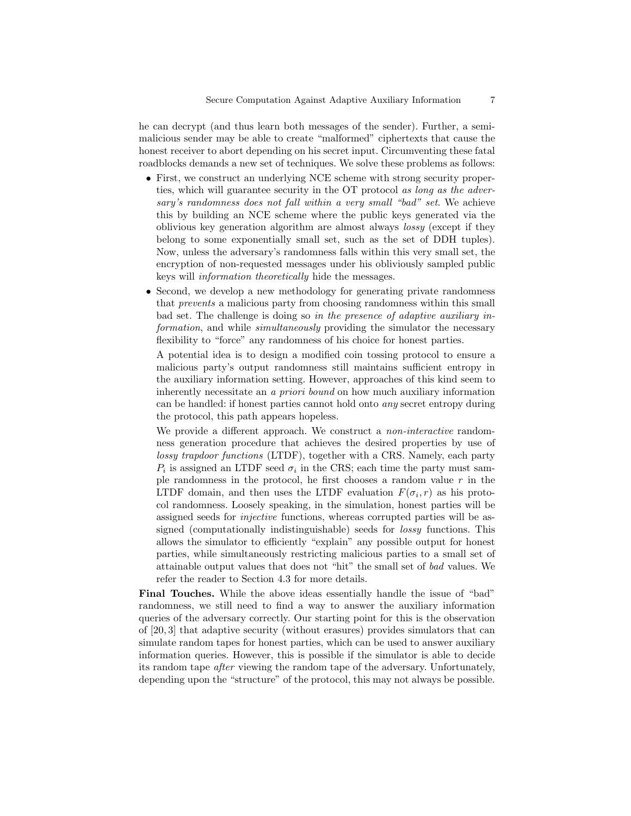he can decrypt (and thus learn both messages of the sender). Further, a semimalicious sender may be able to create "malformed" ciphertexts that cause the honest receiver to abort depending on his secret input. Circumventing these fatal roadblocks demands a new set of techniques. We solve these problems as follows:

- First, we construct an underlying NCE scheme with strong security properties, which will guarantee security in the OT protocol as long as the adversary's randomness does not fall within a very small "bad" set. We achieve this by building an NCE scheme where the public keys generated via the oblivious key generation algorithm are almost always lossy (except if they belong to some exponentially small set, such as the set of DDH tuples). Now, unless the adversary's randomness falls within this very small set, the encryption of non-requested messages under his obliviously sampled public keys will information theoretically hide the messages.
- Second, we develop a new methodology for generating private randomness that prevents a malicious party from choosing randomness within this small bad set. The challenge is doing so in the presence of adaptive auxiliary information, and while simultaneously providing the simulator the necessary flexibility to "force" any randomness of his choice for honest parties.

A potential idea is to design a modified coin tossing protocol to ensure a malicious party's output randomness still maintains sufficient entropy in the auxiliary information setting. However, approaches of this kind seem to inherently necessitate an a priori bound on how much auxiliary information can be handled: if honest parties cannot hold onto any secret entropy during the protocol, this path appears hopeless.

We provide a different approach. We construct a *non-interactive* randomness generation procedure that achieves the desired properties by use of lossy trapdoor functions (LTDF), together with a CRS. Namely, each party  $P_i$  is assigned an LTDF seed  $\sigma_i$  in the CRS; each time the party must sample randomness in the protocol, he first chooses a random value  $r$  in the LTDF domain, and then uses the LTDF evaluation  $F(\sigma_i, r)$  as his protocol randomness. Loosely speaking, in the simulation, honest parties will be assigned seeds for injective functions, whereas corrupted parties will be assigned (computationally indistinguishable) seeds for lossy functions. This allows the simulator to efficiently "explain" any possible output for honest parties, while simultaneously restricting malicious parties to a small set of attainable output values that does not "hit" the small set of bad values. We refer the reader to Section 4.3 for more details.

Final Touches. While the above ideas essentially handle the issue of "bad" randomness, we still need to find a way to answer the auxiliary information queries of the adversary correctly. Our starting point for this is the observation of [20, 3] that adaptive security (without erasures) provides simulators that can simulate random tapes for honest parties, which can be used to answer auxiliary information queries. However, this is possible if the simulator is able to decide its random tape after viewing the random tape of the adversary. Unfortunately, depending upon the "structure" of the protocol, this may not always be possible.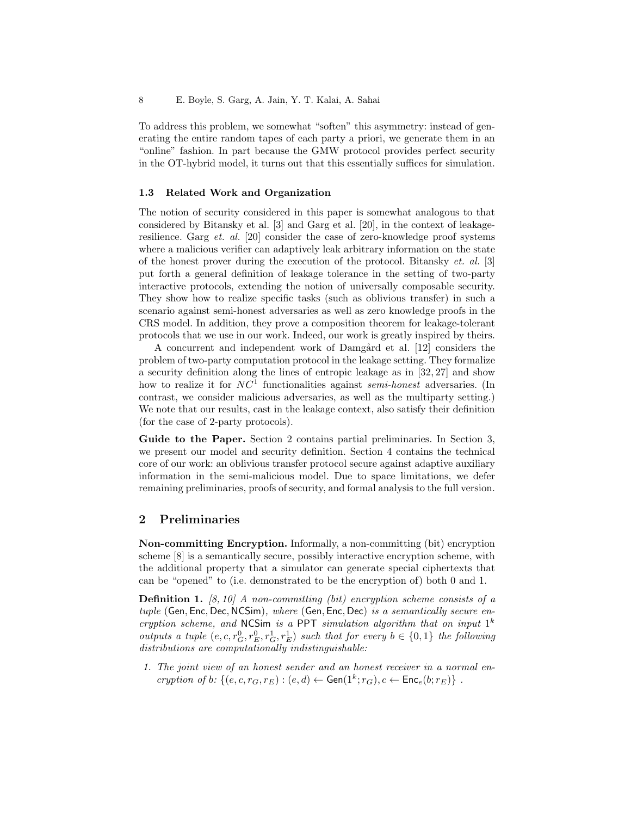To address this problem, we somewhat "soften" this asymmetry: instead of generating the entire random tapes of each party a priori, we generate them in an "online" fashion. In part because the GMW protocol provides perfect security in the OT-hybrid model, it turns out that this essentially suffices for simulation.

## 1.3 Related Work and Organization

The notion of security considered in this paper is somewhat analogous to that considered by Bitansky et al. [3] and Garg et al. [20], in the context of leakageresilience. Garg et. al. [20] consider the case of zero-knowledge proof systems where a malicious verifier can adaptively leak arbitrary information on the state of the honest prover during the execution of the protocol. Bitansky *et. al.* [3] put forth a general definition of leakage tolerance in the setting of two-party interactive protocols, extending the notion of universally composable security. They show how to realize specific tasks (such as oblivious transfer) in such a scenario against semi-honest adversaries as well as zero knowledge proofs in the CRS model. In addition, they prove a composition theorem for leakage-tolerant protocols that we use in our work. Indeed, our work is greatly inspired by theirs.

A concurrent and independent work of Damgård et al. [12] considers the problem of two-party computation protocol in the leakage setting. They formalize a security definition along the lines of entropic leakage as in [32, 27] and show how to realize it for  $NC<sup>1</sup>$  functionalities against semi-honest adversaries. (In contrast, we consider malicious adversaries, as well as the multiparty setting.) We note that our results, cast in the leakage context, also satisfy their definition (for the case of 2-party protocols).

Guide to the Paper. Section 2 contains partial preliminaries. In Section 3, we present our model and security definition. Section 4 contains the technical core of our work: an oblivious transfer protocol secure against adaptive auxiliary information in the semi-malicious model. Due to space limitations, we defer remaining preliminaries, proofs of security, and formal analysis to the full version.

# 2 Preliminaries

Non-committing Encryption. Informally, a non-committing (bit) encryption scheme [8] is a semantically secure, possibly interactive encryption scheme, with the additional property that a simulator can generate special ciphertexts that can be "opened" to (i.e. demonstrated to be the encryption of) both 0 and 1.

**Definition 1.** [8, 10] A non-committing (bit) encryption scheme consists of a tuple (Gen, Enc, Dec, NCSim), where (Gen, Enc, Dec) is a semantically secure encryption scheme, and NCSim is a PPT simulation algorithm that on input  $1^k$ outputs a tuple  $(e, c, r_G^0, r_E^0, r_G^1, r_E^1)$  such that for every  $b \in \{0, 1\}$  the following distributions are computationally indistinguishable:

1. The joint view of an honest sender and an honest receiver in a normal encryption of b:  $\{(e, c, r_G, r_E) : (e, d) \leftarrow \mathsf{Gen}(1^k; r_G), c \leftarrow \mathsf{Enc}_e(b; r_E)\}$ .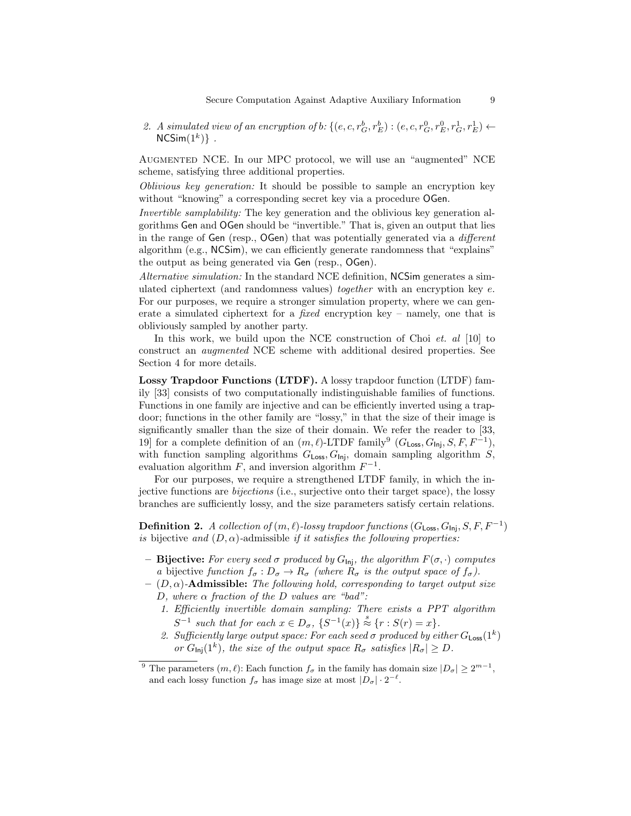2. A simulated view of an encryption of b:  $\{(e, c, r_G^b, r_E^b) : (e, c, r_G^0, r_E^0, r_G^1, r_E^1) \leftarrow$  $NCSim(1^k)$  .

Augmented NCE. In our MPC protocol, we will use an "augmented" NCE scheme, satisfying three additional properties.

Oblivious key generation: It should be possible to sample an encryption key without "knowing" a corresponding secret key via a procedure OGen.

Invertible samplability: The key generation and the oblivious key generation algorithms Gen and OGen should be "invertible." That is, given an output that lies in the range of Gen (resp., OGen) that was potentially generated via a different algorithm (e.g., NCSim), we can efficiently generate randomness that "explains" the output as being generated via Gen (resp., OGen).

Alternative simulation: In the standard NCE definition, NCSim generates a simulated ciphertext (and randomness values) together with an encryption key e. For our purposes, we require a stronger simulation property, where we can generate a simulated ciphertext for a *fixed* encryption key – namely, one that is obliviously sampled by another party.

In this work, we build upon the NCE construction of Choi *et. al* [10] to construct an augmented NCE scheme with additional desired properties. See Section 4 for more details.

Lossy Trapdoor Functions (LTDF). A lossy trapdoor function (LTDF) family [33] consists of two computationally indistinguishable families of functions. Functions in one family are injective and can be efficiently inverted using a trapdoor; functions in the other family are "lossy," in that the size of their image is significantly smaller than the size of their domain. We refer the reader to [33, 19] for a complete definition of an  $(m, \ell)$ -LTDF family<sup>9</sup>  $(G_{\text{Loss}}, G_{\text{Inj}}, S, F, F^{-1}),$ with function sampling algorithms  $G_{\text{Loss}}, G_{\text{Inj}}$ , domain sampling algorithm S, evaluation algorithm  $F$ , and inversion algorithm  $F^{-1}$ .

For our purposes, we require a strengthened LTDF family, in which the injective functions are bijections (i.e., surjective onto their target space), the lossy branches are sufficiently lossy, and the size parameters satisfy certain relations.

**Definition 2.** A collection of  $(m, \ell)$ -lossy trapdoor functions  $(G_{\text{Loss}}, G_{\text{Inj}}, S, F, F^{-1})$ is bijective and  $(D, \alpha)$ -admissible if it satisfies the following properties:

- **Bijective:** For every seed  $\sigma$  produced by  $G_{\text{Inj}}$ , the algorithm  $F(\sigma, \cdot)$  computes a bijective function  $f_{\sigma}: D_{\sigma} \to R_{\sigma}$  (where  $R_{\sigma}$  is the output space of  $f_{\sigma}$ ).
- $-$  (D,  $\alpha$ )-**Admissible:** The following hold, corresponding to target output size D, where  $\alpha$  fraction of the D values are "bad":
	- 1. Efficiently invertible domain sampling: There exists a PPT algorithm  $S^{-1}$  such that for each  $x \in D_{\sigma}$ ,  $\{S^{-1}(x)\} \stackrel{s}{\approx} \{r : S(r) = x\}.$
	- 2. Sufficiently large output space: For each seed  $\sigma$  produced by either  $G_{\text{Loss}}(1^k)$ or  $G_{\text{Inj}}(1^k)$ , the size of the output space  $R_{\sigma}$  satisfies  $|R_{\sigma}| \geq D$ .

<sup>&</sup>lt;sup>9</sup> The parameters  $(m, \ell)$ : Each function  $f_{\sigma}$  in the family has domain size  $|D_{\sigma}| \geq 2^{m-1}$ , and each lossy function  $f_{\sigma}$  has image size at most  $|D_{\sigma}| \cdot 2^{-\ell}$ .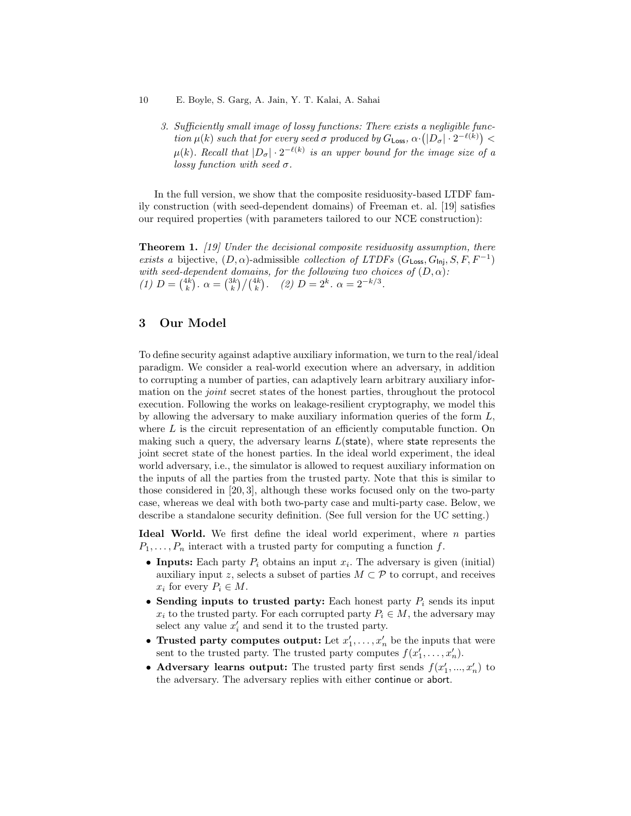- 10 E. Boyle, S. Garg, A. Jain, Y. T. Kalai, A. Sahai
	- 3. Sufficiently small image of lossy functions: There exists a negligible function  $\mu(k)$  such that for every seed  $\sigma$  produced by  $G_{\text{Loss}}$ ,  $\alpha \cdot (|D_{\sigma}| \cdot 2^{-\ell(k)})$  $\mu(k)$ . Recall that  $|D_{\sigma}| \cdot 2^{-\ell(k)}$  is an upper bound for the image size of a lossy function with seed  $\sigma$ .

In the full version, we show that the composite residuosity-based LTDF family construction (with seed-dependent domains) of Freeman et. al. [19] satisfies our required properties (with parameters tailored to our NCE construction):

**Theorem 1.** [19] Under the decisional composite residuosity assumption, there exists a bijective,  $(D, \alpha)$ -admissible collection of LTDFs  $(G_{\text{Loss}}, G_{\text{Inj}}, S, F, F^{-1})$ with seed-dependent domains, for the following two choices of  $(D, \alpha)$ : (1)  $D = \binom{4k}{k}$ .  $\alpha = \binom{3k}{k} / \binom{4k}{k}$ . (2)  $D = 2^k$ .  $\alpha = 2^{-k/3}$ .

# 3 Our Model

To define security against adaptive auxiliary information, we turn to the real/ideal paradigm. We consider a real-world execution where an adversary, in addition to corrupting a number of parties, can adaptively learn arbitrary auxiliary information on the *joint* secret states of the honest parties, throughout the protocol execution. Following the works on leakage-resilient cryptography, we model this by allowing the adversary to make auxiliary information queries of the form  $L$ , where  $L$  is the circuit representation of an efficiently computable function. On making such a query, the adversary learns  $L(\text{state})$ , where state represents the joint secret state of the honest parties. In the ideal world experiment, the ideal world adversary, i.e., the simulator is allowed to request auxiliary information on the inputs of all the parties from the trusted party. Note that this is similar to those considered in [20, 3], although these works focused only on the two-party case, whereas we deal with both two-party case and multi-party case. Below, we describe a standalone security definition. (See full version for the UC setting.)

Ideal World. We first define the ideal world experiment, where  $n$  parties  $P_1, \ldots, P_n$  interact with a trusted party for computing a function f.

- Inputs: Each party  $P_i$  obtains an input  $x_i$ . The adversary is given (initial) auxiliary input z, selects a subset of parties  $M \subset \mathcal{P}$  to corrupt, and receives  $x_i$  for every  $P_i \in M$ .
- Sending inputs to trusted party: Each honest party  $P_i$  sends its input  $x_i$  to the trusted party. For each corrupted party  $P_i \in M$ , the adversary may select any value  $x_i'$  and send it to the trusted party.
- Trusted party computes output: Let  $x'_1, \ldots, x'_n$  be the inputs that were sent to the trusted party. The trusted party computes  $f(x'_1, \ldots, x'_n)$ .
- Adversary learns output: The trusted party first sends  $f(x'_1, ..., x'_n)$  to the adversary. The adversary replies with either continue or abort.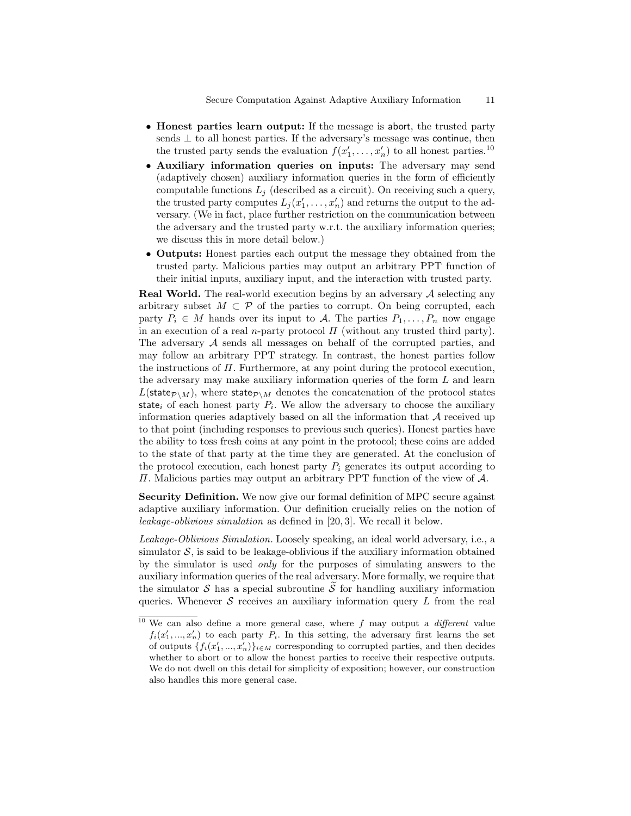- Honest parties learn output: If the message is abort, the trusted party sends  $⊥$  to all honest parties. If the adversary's message was continue, then the trusted party sends the evaluation  $f(x'_1, \ldots, x'_n)$  to all honest parties.<sup>10</sup>
- Auxiliary information queries on inputs: The adversary may send (adaptively chosen) auxiliary information queries in the form of efficiently computable functions  $L_i$  (described as a circuit). On receiving such a query, the trusted party computes  $L_j(x'_1, \ldots, x'_n)$  and returns the output to the adversary. (We in fact, place further restriction on the communication between the adversary and the trusted party w.r.t. the auxiliary information queries; we discuss this in more detail below.)
- Outputs: Honest parties each output the message they obtained from the trusted party. Malicious parties may output an arbitrary PPT function of their initial inputs, auxiliary input, and the interaction with trusted party.

**Real World.** The real-world execution begins by an adversary  $A$  selecting any arbitrary subset  $M \subset \mathcal{P}$  of the parties to corrupt. On being corrupted, each party  $P_i \in M$  hands over its input to A. The parties  $P_1, \ldots, P_n$  now engage in an execution of a real n-party protocol  $\Pi$  (without any trusted third party). The adversary A sends all messages on behalf of the corrupted parties, and may follow an arbitrary PPT strategy. In contrast, the honest parties follow the instructions of  $\Pi$ . Furthermore, at any point during the protocol execution, the adversary may make auxiliary information queries of the form L and learn  $L(\text{state}_{\mathcal{P}\setminus M})$ , where state $\mathcal{P}\setminus M$  denotes the concatenation of the protocol states state<sub>i</sub> of each honest party  $P_i$ . We allow the adversary to choose the auxiliary information queries adaptively based on all the information that  $A$  received up to that point (including responses to previous such queries). Honest parties have the ability to toss fresh coins at any point in the protocol; these coins are added to the state of that party at the time they are generated. At the conclusion of the protocol execution, each honest party  $P_i$  generates its output according to  $\Pi$ . Malicious parties may output an arbitrary PPT function of the view of  $\mathcal{A}$ .

Security Definition. We now give our formal definition of MPC secure against adaptive auxiliary information. Our definition crucially relies on the notion of leakage-oblivious simulation as defined in [20, 3]. We recall it below.

Leakage-Oblivious Simulation. Loosely speaking, an ideal world adversary, i.e., a simulator  $\mathcal{S}$ , is said to be leakage-oblivious if the auxiliary information obtained by the simulator is used only for the purposes of simulating answers to the auxiliary information queries of the real adversary. More formally, we require that the simulator S has a special subroutine  $\tilde{S}$  for handling auxiliary information queries. Whenever  $\mathcal S$  receives an auxiliary information query  $L$  from the real

<sup>&</sup>lt;sup>10</sup> We can also define a more general case, where  $f$  may output a *different* value  $f_i(x'_1,...,x'_n)$  to each party  $P_i$ . In this setting, the adversary first learns the set of outputs  $\{f_i(x'_1, ..., x'_n)\}_{i \in M}$  corresponding to corrupted parties, and then decides whether to abort or to allow the honest parties to receive their respective outputs. We do not dwell on this detail for simplicity of exposition; however, our construction also handles this more general case.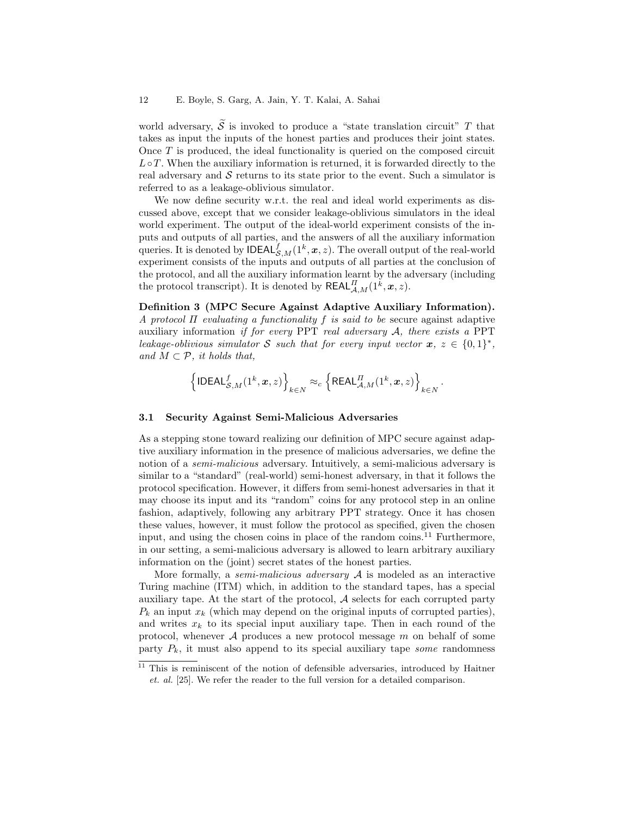world adversary,  $\widetilde{S}$  is invoked to produce a "state translation circuit" T that takes as input the inputs of the honest parties and produces their joint states. Once T is produced, the ideal functionality is queried on the composed circuit  $L \circ T$ . When the auxiliary information is returned, it is forwarded directly to the real adversary and  $S$  returns to its state prior to the event. Such a simulator is referred to as a leakage-oblivious simulator.

We now define security w.r.t. the real and ideal world experiments as discussed above, except that we consider leakage-oblivious simulators in the ideal world experiment. The output of the ideal-world experiment consists of the inputs and outputs of all parties, and the answers of all the auxiliary information queries. It is denoted by **IDEAL** ${}_{\mathcal{S},M}^{f}(1^k, x, z)$ . The overall output of the real-world experiment consists of the inputs and outputs of all parties at the conclusion of the protocol, and all the auxiliary information learnt by the adversary (including the protocol transcript). It is denoted by  $\mathsf{REAL}_{\mathcal{A},M}^{\Pi}(1^k,\boldsymbol{x},z)$ .

Definition 3 (MPC Secure Against Adaptive Auxiliary Information). A protocol Π evaluating a functionality f is said to be secure against adaptive auxiliary information if for every PPT real adversary A, there exists a PPT leakage-oblivious simulator S such that for every input vector  $x, z \in \{0,1\}^*$ , and  $M \subset \mathcal{P}$ , it holds that,

$$
\left\{\mathsf{IDEAL}_{\mathcal{S},M}^f(1^k,\boldsymbol{x},z)\right\}_{k\in N}\approx_c\left\{\mathsf{REAL}_{\mathcal{A},M}^{\varPi}(1^k,\boldsymbol{x},z)\right\}_{k\in N}.
$$

#### 3.1 Security Against Semi-Malicious Adversaries

As a stepping stone toward realizing our definition of MPC secure against adaptive auxiliary information in the presence of malicious adversaries, we define the notion of a semi-malicious adversary. Intuitively, a semi-malicious adversary is similar to a "standard" (real-world) semi-honest adversary, in that it follows the protocol specification. However, it differs from semi-honest adversaries in that it may choose its input and its "random" coins for any protocol step in an online fashion, adaptively, following any arbitrary PPT strategy. Once it has chosen these values, however, it must follow the protocol as specified, given the chosen input, and using the chosen coins in place of the random coins.<sup>11</sup> Furthermore, in our setting, a semi-malicious adversary is allowed to learn arbitrary auxiliary information on the (joint) secret states of the honest parties.

More formally, a *semi-malicious adversary*  $A$  is modeled as an interactive Turing machine (ITM) which, in addition to the standard tapes, has a special auxiliary tape. At the start of the protocol, A selects for each corrupted party  $P_k$  an input  $x_k$  (which may depend on the original inputs of corrupted parties), and writes  $x_k$  to its special input auxiliary tape. Then in each round of the protocol, whenever  $A$  produces a new protocol message  $m$  on behalf of some party  $P_k$ , it must also append to its special auxiliary tape some randomness

<sup>&</sup>lt;sup>11</sup> This is reminiscent of the notion of defensible adversaries, introduced by Haitner et. al. [25]. We refer the reader to the full version for a detailed comparison.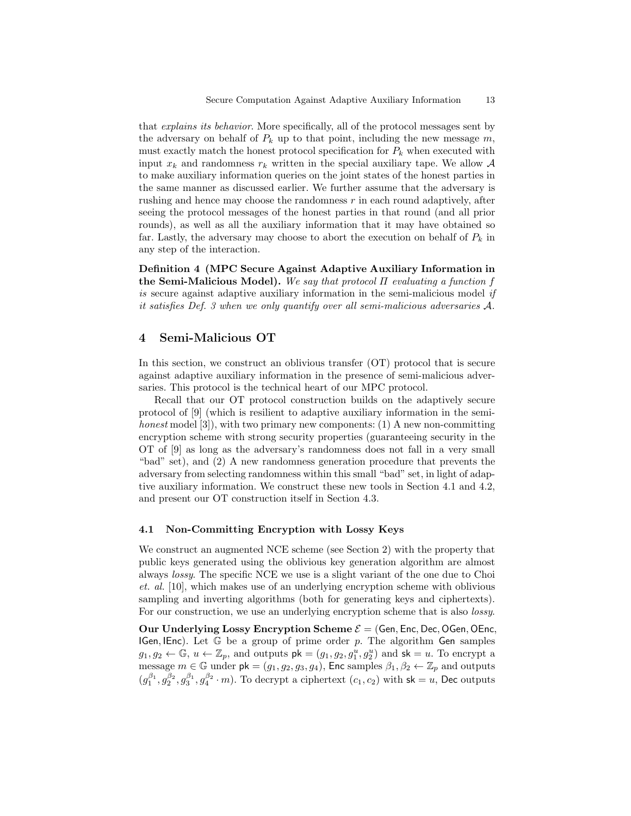that explains its behavior. More specifically, all of the protocol messages sent by the adversary on behalf of  $P_k$  up to that point, including the new message  $m$ , must exactly match the honest protocol specification for  $P_k$  when executed with input  $x_k$  and randomness  $r_k$  written in the special auxiliary tape. We allow  $\mathcal A$ to make auxiliary information queries on the joint states of the honest parties in the same manner as discussed earlier. We further assume that the adversary is rushing and hence may choose the randomness  $r$  in each round adaptively, after seeing the protocol messages of the honest parties in that round (and all prior rounds), as well as all the auxiliary information that it may have obtained so far. Lastly, the adversary may choose to abort the execution on behalf of  $P_k$  in any step of the interaction.

Definition 4 (MPC Secure Against Adaptive Auxiliary Information in the Semi-Malicious Model). We say that protocol  $\Pi$  evaluating a function  $f$ is secure against adaptive auxiliary information in the semi-malicious model if it satisfies Def. 3 when we only quantify over all semi-malicious adversaries A.

# 4 Semi-Malicious OT

In this section, we construct an oblivious transfer (OT) protocol that is secure against adaptive auxiliary information in the presence of semi-malicious adversaries. This protocol is the technical heart of our MPC protocol.

Recall that our OT protocol construction builds on the adaptively secure protocol of [9] (which is resilient to adaptive auxiliary information in the semihonest model [3]), with two primary new components: (1) A new non-committing encryption scheme with strong security properties (guaranteeing security in the OT of [9] as long as the adversary's randomness does not fall in a very small "bad" set), and (2) A new randomness generation procedure that prevents the adversary from selecting randomness within this small "bad" set, in light of adaptive auxiliary information. We construct these new tools in Section 4.1 and 4.2, and present our OT construction itself in Section 4.3.

# 4.1 Non-Committing Encryption with Lossy Keys

We construct an augmented NCE scheme (see Section 2) with the property that public keys generated using the oblivious key generation algorithm are almost always lossy. The specific NCE we use is a slight variant of the one due to Choi et. al. [10], which makes use of an underlying encryption scheme with oblivious sampling and inverting algorithms (both for generating keys and ciphertexts). For our construction, we use an underlying encryption scheme that is also *lossy*.

Our Underlying Lossy Encryption Scheme  $\mathcal{E} =$  (Gen, Enc, Dec, OGen, OEnc, **IGen, IEnc**). Let  $\mathbb{G}$  be a group of prime order p. The algorithm Gen samples  $g_1, g_2 \leftarrow \mathbb{G}, u \leftarrow \mathbb{Z}_p$ , and outputs  $pk = (g_1, g_2, g_1^u, g_2^u)$  and  $sk = u$ . To encrypt a message  $m \in \mathbb{G}$  under  $pk = (g_1, g_2, g_3, g_4)$ , Enc samples  $\beta_1, \beta_2 \leftarrow \mathbb{Z}_p$  and outputs  $(g_1^{\beta_1}, g_2^{\beta_2}, g_3^{\beta_1}, g_4^{\beta_2} \cdot m)$ . To decrypt a ciphertext  $(c_1, c_2)$  with  $sk = u$ , Dec outputs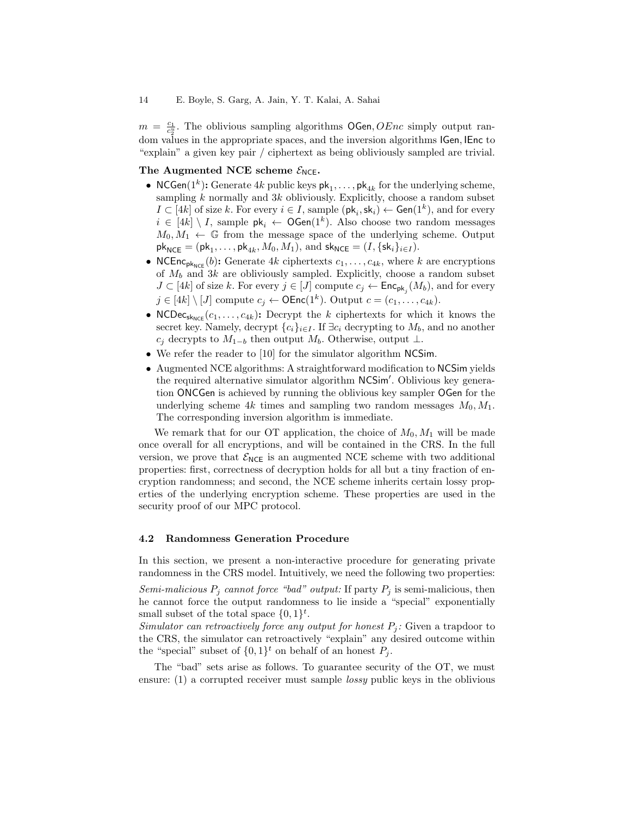$m = \frac{c_1}{c_2^u}$ . The oblivious sampling algorithms OGen, OEnc simply output random values in the appropriate spaces, and the inversion algorithms IGen, IEnc to "explain" a given key pair / ciphertext as being obliviously sampled are trivial.

## The Augmented NCE scheme  $\mathcal{E}_{NCE}$ .

- NCGen( $1^k$ ): Generate 4k public keys  $pk_1, \ldots, pk_{4k}$  for the underlying scheme, sampling  $k$  normally and  $3k$  obliviously. Explicitly, choose a random subset  $I \subset [4k]$  of size k. For every  $i \in I$ , sample  $(\mathsf{pk}_i, \mathsf{sk}_i) \leftarrow \mathsf{Gen}(1^k)$ , and for every  $i \in [4k] \setminus I$ , sample  $\mathsf{pk}_i \leftarrow \mathsf{OGen}(1^k)$ . Also choose two random messages  $M_0, M_1 \leftarrow \mathbb{G}$  from the message space of the underlying scheme. Output  $\mathsf{pk}_{\mathsf{NCE}} = (\mathsf{pk}_1, \dots, \mathsf{pk}_{4k}, M_0, M_1), \text{ and } \mathsf{sk}_{\mathsf{NCE}} = (I, \{\mathsf{sk}_i\}_{i \in I}).$
- NCEnc<sub>pk<sub>NCE</sub> (b): Generate 4k ciphertexts  $c_1, \ldots, c_{4k}$ , where k are encryptions</sub> of  $M_b$  and 3k are obliviously sampled. Explicitly, choose a random subset  $J \subset [4k]$  of size k. For every  $j \in [J]$  compute  $c_j \leftarrow \mathsf{Enc}_{\mathsf{pk}_j}(M_b)$ , and for every  $j \in [4k] \setminus [J]$  compute  $c_j \leftarrow \mathsf{OEnc}(1^k)$ . Output  $c = (c_1, \ldots, c_{4k})$ .
- NCDec<sub>skNCE</sub>  $(c_1, \ldots, c_{4k})$ : Decrypt the k ciphertexts for which it knows the secret key. Namely, decrypt  $\{c_i\}_{i\in I}$ . If  $\exists c_i$  decrypting to  $M_b$ , and no another  $c_j$  decrypts to  $M_{1-b}$  then output  $M_b$ . Otherwise, output  $\perp$ .
- We refer the reader to [10] for the simulator algorithm NCSim.
- Augmented NCE algorithms: A straightforward modification to NCSim yields the required alternative simulator algorithm NCSim'. Oblivious key generation ONCGen is achieved by running the oblivious key sampler OGen for the underlying scheme 4k times and sampling two random messages  $M_0, M_1$ . The corresponding inversion algorithm is immediate.

We remark that for our OT application, the choice of  $M_0, M_1$  will be made once overall for all encryptions, and will be contained in the CRS. In the full version, we prove that  $\mathcal{E}_{NCE}$  is an augmented NCE scheme with two additional properties: first, correctness of decryption holds for all but a tiny fraction of encryption randomness; and second, the NCE scheme inherits certain lossy properties of the underlying encryption scheme. These properties are used in the security proof of our MPC protocol.

#### 4.2 Randomness Generation Procedure

In this section, we present a non-interactive procedure for generating private randomness in the CRS model. Intuitively, we need the following two properties:

Semi-malicious  $P_j$  cannot force "bad" output: If party  $P_j$  is semi-malicious, then he cannot force the output randomness to lie inside a "special" exponentially small subset of the total space  $\{0,1\}^t$ .

Simulator can retroactively force any output for honest  $P_i$ : Given a trapdoor to the CRS, the simulator can retroactively "explain" any desired outcome within the "special" subset of  $\{0,1\}^t$  on behalf of an honest  $P_j$ .

The "bad" sets arise as follows. To guarantee security of the OT, we must ensure: (1) a corrupted receiver must sample *lossy* public keys in the oblivious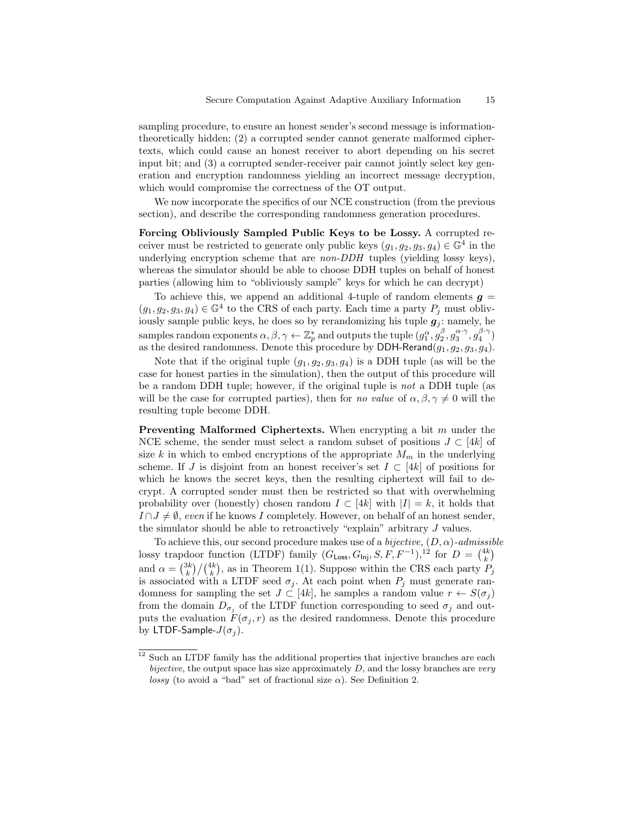sampling procedure, to ensure an honest sender's second message is informationtheoretically hidden; (2) a corrupted sender cannot generate malformed ciphertexts, which could cause an honest receiver to abort depending on his secret input bit; and (3) a corrupted sender-receiver pair cannot jointly select key generation and encryption randomness yielding an incorrect message decryption, which would compromise the correctness of the OT output.

We now incorporate the specifics of our NCE construction (from the previous section), and describe the corresponding randomness generation procedures.

Forcing Obliviously Sampled Public Keys to be Lossy. A corrupted receiver must be restricted to generate only public keys  $(g_1, g_2, g_3, g_4) \in \mathbb{G}^4$  in the underlying encryption scheme that are  $non-DDH$  tuples (yielding lossy keys), whereas the simulator should be able to choose DDH tuples on behalf of honest parties (allowing him to "obliviously sample" keys for which he can decrypt)

To achieve this, we append an additional 4-tuple of random elements  $q =$  $(g_1, g_2, g_3, g_4) \in \mathbb{G}^4$  to the CRS of each party. Each time a party  $P_j$  must obliviously sample public keys, he does so by rerandomizing his tuple  $g_j$ : namely, he samples random exponents  $\alpha, \beta, \gamma \leftarrow \mathbb{Z}_p^*$  and outputs the tuple  $(g_1^{\alpha}, g_2^{\beta}, g_3^{\alpha, \gamma}, g_4^{\beta, \gamma})$ as the desired randomness. Denote this procedure by DDH-Rerand $(g_1, g_2, g_3, g_4)$ .

Note that if the original tuple  $(g_1, g_2, g_3, g_4)$  is a DDH tuple (as will be the case for honest parties in the simulation), then the output of this procedure will be a random DDH tuple; however, if the original tuple is not a DDH tuple (as will be the case for corrupted parties), then for no value of  $\alpha, \beta, \gamma \neq 0$  will the resulting tuple become DDH.

**Preventing Malformed Ciphertexts.** When encrypting a bit  $m$  under the NCE scheme, the sender must select a random subset of positions  $J \subset [4k]$  of size k in which to embed encryptions of the appropriate  $M_m$  in the underlying scheme. If J is disjoint from an honest receiver's set  $I \subset [4k]$  of positions for which he knows the secret keys, then the resulting ciphertext will fail to decrypt. A corrupted sender must then be restricted so that with overwhelming probability over (honestly) chosen random  $I \subset [4k]$  with  $|I| = k$ , it holds that  $I \cap J \neq \emptyset$ , even if he knows I completely. However, on behalf of an honest sender, the simulator should be able to retroactively "explain" arbitrary J values.

To achieve this, our second procedure makes use of a bijective,  $(D, \alpha)$ -admissible lossy trapdoor function (LTDF) family  $(G_{\text{Loss}}, G_{\text{Inj}}, S, F, F^{-1})$ ,<sup>12</sup> for  $D = \binom{4k}{k}$ and  $\alpha = \binom{3k}{k} / \binom{4k}{k}$ , as in Theorem 1(1). Suppose within the CRS each party  $P_j$ is associated with a LTDF seed  $\sigma_j$ . At each point when  $P_j$  must generate randomness for sampling the set  $J \subset [4k]$ , he samples a random value  $r \leftarrow S(\sigma_j)$ from the domain  $D_{\sigma_j}$  of the LTDF function corresponding to seed  $\sigma_j$  and outputs the evaluation  $F(\sigma_j, r)$  as the desired randomness. Denote this procedure by LTDF-Sample- $J(\sigma_i)$ .

 $12$  Such an LTDF family has the additional properties that injective branches are each bijective, the output space has size approximately  $D$ , and the lossy branches are very *lossy* (to avoid a "bad" set of fractional size  $\alpha$ ). See Definition 2.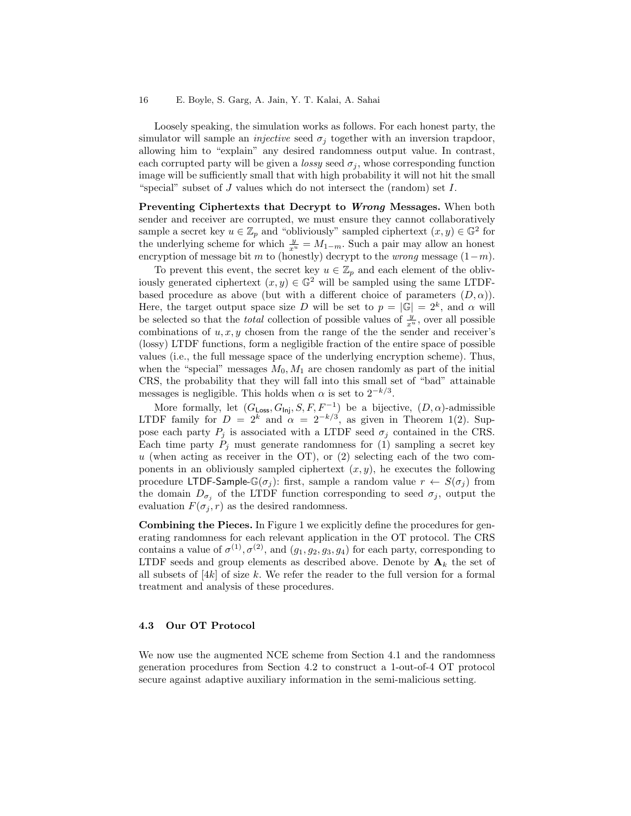#### 16 E. Boyle, S. Garg, A. Jain, Y. T. Kalai, A. Sahai

Loosely speaking, the simulation works as follows. For each honest party, the simulator will sample an *injective* seed  $\sigma_j$  together with an inversion trapdoor, allowing him to "explain" any desired randomness output value. In contrast, each corrupted party will be given a *lossy* seed  $\sigma_j$ , whose corresponding function image will be sufficiently small that with high probability it will not hit the small "special" subset of  $J$  values which do not intersect the (random) set  $I$ .

Preventing Ciphertexts that Decrypt to Wrong Messages. When both sender and receiver are corrupted, we must ensure they cannot collaboratively sample a secret key  $u \in \mathbb{Z}_p$  and "obliviously" sampled ciphertext  $(x, y) \in \mathbb{G}^2$  for the underlying scheme for which  $\frac{y}{x^u} = M_{1-m}$ . Such a pair may allow an honest encryption of message bit m to (honestly) decrypt to the *wrong* message  $(1-m)$ .

To prevent this event, the secret key  $u \in \mathbb{Z}_p$  and each element of the obliviously generated ciphertext  $(x, y) \in \mathbb{G}^2$  will be sampled using the same LTDFbased procedure as above (but with a different choice of parameters  $(D, \alpha)$ ). Here, the target output space size D will be set to  $p = |\mathbb{G}| = 2^k$ , and  $\alpha$  will be selected so that the *total* collection of possible values of  $\frac{y}{x^u}$ , over all possible combinations of  $u, x, y$  chosen from the range of the the sender and receiver's (lossy) LTDF functions, form a negligible fraction of the entire space of possible values (i.e., the full message space of the underlying encryption scheme). Thus, when the "special" messages  $M_0, M_1$  are chosen randomly as part of the initial CRS, the probability that they will fall into this small set of "bad" attainable messages is negligible. This holds when  $\alpha$  is set to  $2^{-k/3}$ .

More formally, let  $(G<sub>Loss</sub>, G<sub>lnj</sub>, S, F, F<sup>-1</sup>)$  be a bijective,  $(D, \alpha)$ -admissible LTDF family for  $D = 2^k$  and  $\alpha = 2^{-k/3}$ , as given in Theorem 1(2). Suppose each party  $P_j$  is associated with a LTDF seed  $\sigma_j$  contained in the CRS. Each time party  $P_i$  must generate randomness for (1) sampling a secret key u (when acting as receiver in the OT), or  $(2)$  selecting each of the two components in an obliviously sampled ciphertext  $(x, y)$ , he executes the following procedure LTDF-Sample- $\mathbb{G}(\sigma_i)$ : first, sample a random value  $r \leftarrow S(\sigma_i)$  from the domain  $D_{\sigma_j}$  of the LTDF function corresponding to seed  $\sigma_j$ , output the evaluation  $F(\sigma_j, r)$  as the desired randomness.

Combining the Pieces. In Figure 1 we explicitly define the procedures for generating randomness for each relevant application in the OT protocol. The CRS contains a value of  $\sigma^{(1)}, \sigma^{(2)}$ , and  $(g_1, g_2, g_3, g_4)$  for each party, corresponding to LTDF seeds and group elements as described above. Denote by  $A_k$  the set of all subsets of  $[4k]$  of size k. We refer the reader to the full version for a formal treatment and analysis of these procedures.

#### 4.3 Our OT Protocol

We now use the augmented NCE scheme from Section 4.1 and the randomness generation procedures from Section 4.2 to construct a 1-out-of-4 OT protocol secure against adaptive auxiliary information in the semi-malicious setting.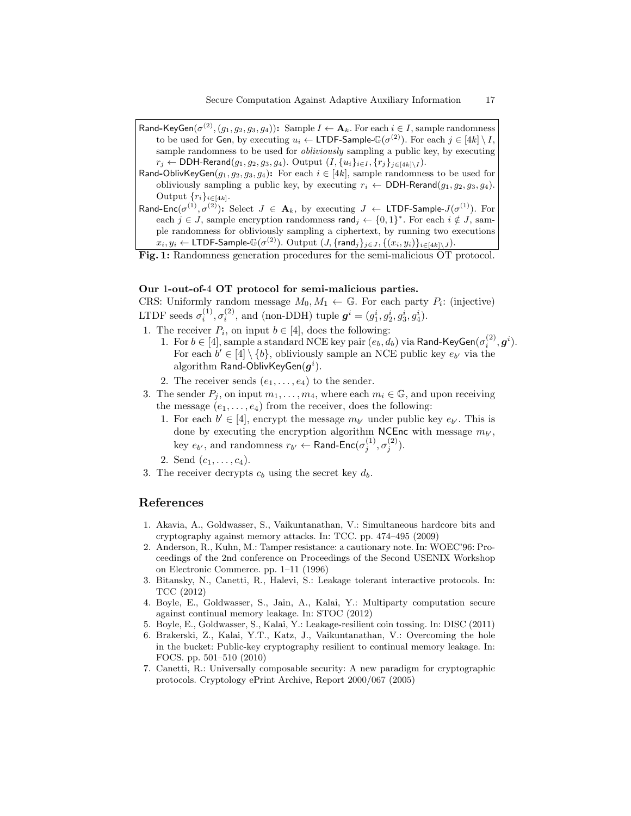Rand-KeyGen $(\sigma^{(2)},(g_1,g_2,g_3,g_4))$ : Sample  $I \leftarrow \mathbf{A}_k$ . For each  $i \in I,$  sample randomness to be used for Gen, by executing  $u_i \leftarrow \textsf{LTDF-Sample-}\mathbb{G}(\sigma^{(2)})$ . For each  $j \in [4k] \setminus I,$ sample randomness to be used for *obliviously* sampling a public key, by executing  $r_j$  ← DDH-Rerand $(g_1, g_2, g_3, g_4)$ . Output  $(I, \{u_i\}_{i \in I}, \{r_j\}_{j \in [4k]\setminus I})$ .

Rand-OblivKeyGen $(g_1, g_2, g_3, g_4)$ : For each  $i \in [4k]$ , sample randomness to be used for obliviously sampling a public key, by executing  $r_i \leftarrow \text{DDH-Rerand}(g_1, g_2, g_3, g_4)$ . Output  $\{r_i\}_{i\in[4k]}$ .

Rand-Enc $(\sigma^{(1)},\sigma^{(2)})$ : Select  $J \in \mathbf{A}_k$ , by executing  $J \leftarrow$  LTDF-Sample- $J(\sigma^{(1)})$ . For each  $j \in J$ , sample encryption randomness rand $j \leftarrow \{0,1\}^*$ . For each  $i \notin J$ , sample randomness for obliviously sampling a ciphertext, by running two executions  $x_i, y_i \leftarrow \textsf{LTDF-Sample-G}(\sigma^{(2)})\text{. Output } (J, \{\mathsf{rand}_j\}_{j \in J}, \{(x_i, y_i)\}_{i \in [4k] \setminus J}).$ 

Fig. 1: Randomness generation procedures for the semi-malicious OT protocol.

## Our 1-out-of-4 OT protocol for semi-malicious parties.

CRS: Uniformly random message  $M_0, M_1 \leftarrow \mathbb{G}$ . For each party  $P_i$ : (injective) LTDF seeds  $\sigma_i^{(1)}, \sigma_i^{(2)}$ , and (non-DDH) tuple  $g^i = (g_1^i, g_2^i, g_3^i, g_4^i)$ .

- 1. The receiver  $P_i$ , on input  $b \in [4]$ , does the following:
	- 1. For  $b \in [4]$ , sample a standard NCE key pair  $(e_b, d_b)$  via Rand-KeyGen $(\sigma_i^{(2)}, g^i)$ . For each  $b' \in [4] \setminus \{b\}$ , obliviously sample an NCE public key  $e_{b'}$  via the algorithm Rand-OblivKeyGen $(g^i)$ .
	- 2. The receiver sends  $(e_1, \ldots, e_4)$  to the sender.
- 3. The sender  $P_j$ , on input  $m_1, \ldots, m_4$ , where each  $m_i \in \mathbb{G}$ , and upon receiving the message  $(e_1, \ldots, e_4)$  from the receiver, does the following:
	- 1. For each  $b' \in [4]$ , encrypt the message  $m_{b'}$  under public key  $e_{b'}$ . This is done by executing the encryption algorithm NCEnc with message  $m_{b}$ , key  $e_{b'}$ , and randomness  $r_{b'} \leftarrow \mathsf{Rand}\text{-}\mathsf{Enc}(\sigma_j^{(1)},\sigma_j^{(2)}).$

2. Send  $(c_1, \ldots, c_4)$ .

3. The receiver decrypts  $c_b$  using the secret key  $d_b$ .

# References

- 1. Akavia, A., Goldwasser, S., Vaikuntanathan, V.: Simultaneous hardcore bits and cryptography against memory attacks. In: TCC. pp. 474–495 (2009)
- 2. Anderson, R., Kuhn, M.: Tamper resistance: a cautionary note. In: WOEC'96: Proceedings of the 2nd conference on Proceedings of the Second USENIX Workshop on Electronic Commerce. pp. 1–11 (1996)
- 3. Bitansky, N., Canetti, R., Halevi, S.: Leakage tolerant interactive protocols. In: TCC (2012)
- 4. Boyle, E., Goldwasser, S., Jain, A., Kalai, Y.: Multiparty computation secure against continual memory leakage. In: STOC (2012)
- 5. Boyle, E., Goldwasser, S., Kalai, Y.: Leakage-resilient coin tossing. In: DISC (2011)
- 6. Brakerski, Z., Kalai, Y.T., Katz, J., Vaikuntanathan, V.: Overcoming the hole in the bucket: Public-key cryptography resilient to continual memory leakage. In: FOCS. pp. 501–510 (2010)
- 7. Canetti, R.: Universally composable security: A new paradigm for cryptographic protocols. Cryptology ePrint Archive, Report 2000/067 (2005)